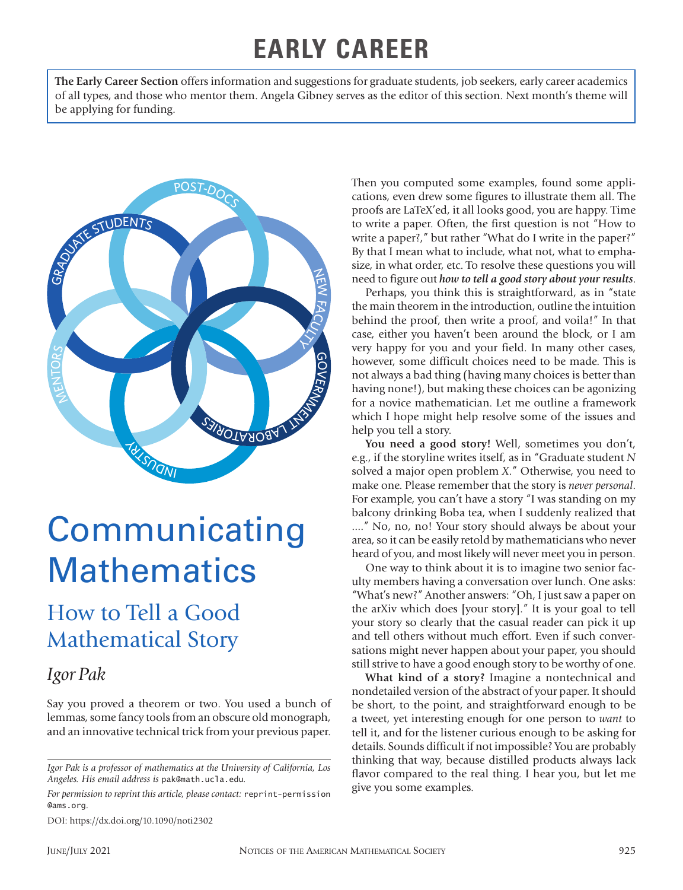## **EARLY CAREER**

**The Early Career Section** offers information and suggestions for graduate students, job seekers, early career academics of all types, and those who mentor them. Angela Gibney serves as the editor of this section. Next month's theme will be applying for funding.



# **Communicating Mathematics**

## How to Tell a Good Mathematical Story

### *Igor Pak*

Say you proved a theorem or two. You used a bunch of lemmas, some fancy tools from an obscure old monograph, and an innovative technical trick from your previous paper.

*For permission to reprint this article, please contact:* reprint-permission @ams.org.

DOI: https://dx.doi.org/10.1090/noti2302

Then you computed some examples, found some applications, even drew some figures to illustrate them all. The proofs are LaTeX'ed, it all looks good, you are happy. Time to write a paper. Often, the first question is not "How to write a paper?," but rather "What do I write in the paper?" By that I mean what to include, what not, what to emphasize, in what order, etc. To resolve these questions you will need to figure out *how to tell a good story about your results*.

Perhaps, you think this is straightforward, as in "state the main theorem in the introduction, outline the intuition behind the proof, then write a proof, and voila!" In that case, either you haven't been around the block, or I am very happy for you and your field. In many other cases, however, some difficult choices need to be made. This is not always a bad thing (having many choices is better than having none!), but making these choices can be agonizing for a novice mathematician. Let me outline a framework which I hope might help resolve some of the issues and help you tell a story.

You need a good story! Well, sometimes you don't, e.g., if the storyline writes itself, as in "Graduate student *N* solved a major open problem *X*." Otherwise, you need to make one. Please remember that the story is *never personal*. For example, you can't have a story "I was standing on my balcony drinking Boba tea, when I suddenly realized that ...." No, no, no! Your story should always be about your area, so it can be easily retold by mathematicians who never heard of you, and most likely will never meet you in person.

One way to think about it is to imagine two senior faculty members having a conversation over lunch. One asks: "What's new?" Another answers: "Oh, I just saw a paper on the arXiv which does [your story]." It is your goal to tell your story so clearly that the casual reader can pick it up and tell others without much effort. Even if such conversations might never happen about your paper, you should still strive to have a good enough story to be worthy of one.

**What kind of a story?** Imagine a nontechnical and nondetailed version of the abstract of your paper. It should be short, to the point, and straightforward enough to be a tweet, yet interesting enough for one person to *want* to tell it, and for the listener curious enough to be asking for details. Sounds difficult if not impossible? You are probably thinking that way, because distilled products always lack flavor compared to the real thing. I hear you, but let me give you some examples.

*Igor Pak is a professor of mathematics at the University of California, Los Angeles. His email address is* pak@math.ucla.edu*.*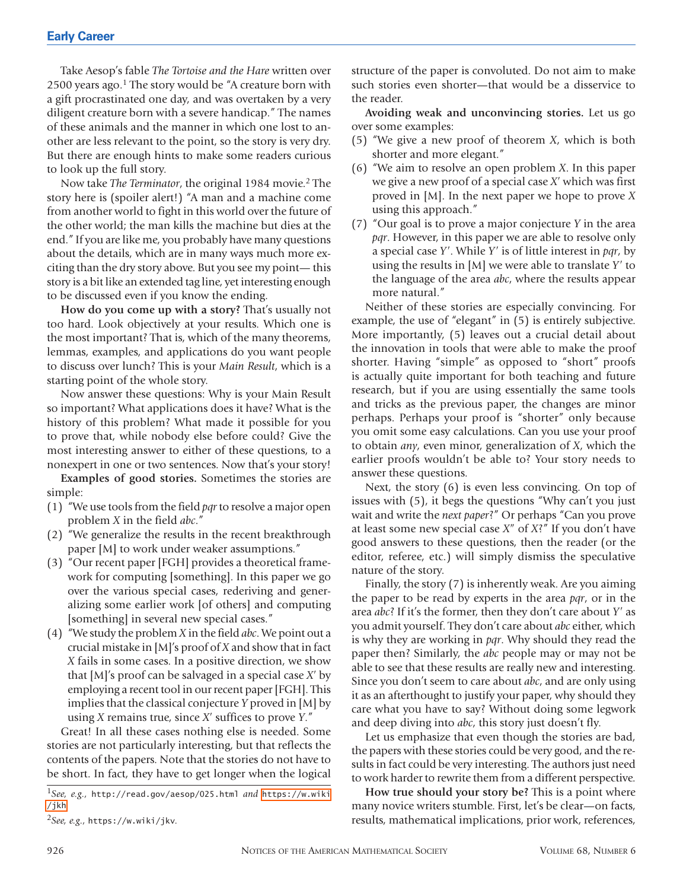Take Aesop's fable *The Tortoise and the Hare* written over 2500 years ago.<sup>1</sup> The story would be "A creature born with a gift procrastinated one day, and was overtaken by a very diligent creature born with a severe handicap." The names of these animals and the manner in which one lost to another are less relevant to the point, so the story is very dry. But there are enough hints to make some readers curious to look up the full story.

Now take *The Terminator*, the original 1984 movie.2 The story here is (spoiler alert!) "A man and a machine come from another world to fight in this world over the future of the other world; the man kills the machine but dies at the end." If you are like me, you probably have many questions about the details, which are in many ways much more exciting than the dry story above. But you see my point— this story is a bit like an extended tag line, yet interesting enough to be discussed even if you know the ending.

**How do you come up with a story?** That's usually not too hard. Look objectively at your results. Which one is the most important? That is, which of the many theorems, lemmas, examples, and applications do you want people to discuss over lunch? This is your *Main Result*, which is a starting point of the whole story.

Now answer these questions: Why is your Main Result so important? What applications does it have? What is the history of this problem? What made it possible for you to prove that, while nobody else before could? Give the most interesting answer to either of these questions, to a nonexpert in one or two sentences. Now that's your story!

**Examples of good stories.** Sometimes the stories are simple:

- (1) "We use tools from the field *pqr* to resolve a major open problem *X* in the field *abc*."
- (2) "We generalize the results in the recent breakthrough paper [M] to work under weaker assumptions."
- (3) "Our recent paper [FGH] provides a theoretical framework for computing [something]. In this paper we go over the various special cases, rederiving and generalizing some earlier work [of others] and computing [something] in several new special cases."
- (4) "We study the problem *X* in the field *abc*. We point out a crucial mistake in [M]'s proof of *X* and show that in fact *X* fails in some cases. In a positive direction, we show that [M]'s proof can be salvaged in a special case *X*ʹ by employing a recent tool in our recent paper [FGH]. This implies that the classical conjecture *Y* proved in [M] by using *X* remains true, since *X*ʹ suffices to prove *Y*."

Great! In all these cases nothing else is needed. Some stories are not particularly interesting, but that reflects the contents of the papers. Note that the stories do not have to be short. In fact, they have to get longer when the logical

<sup>1</sup>*See, e.g.,* http://read.gov/aesop/025.html *and* [https://w.wiki](https://w.wiki/jkh) [/jkh](https://w.wiki/jkh)*.* 

structure of the paper is convoluted. Do not aim to make such stories even shorter—that would be a disservice to the reader.

**Avoiding weak and unconvincing stories.** Let us go over some examples:

- (5) "We give a new proof of theorem *X*, which is both shorter and more elegant."
- (6) "We aim to resolve an open problem *X*. In this paper we give a new proof of a special case *X*ʹ which was first proved in [M]. In the next paper we hope to prove *X* using this approach."
- (7) "Our goal is to prove a major conjecture *Y* in the area *pqr*. However, in this paper we are able to resolve only a special case *Y*ʹ. While *Y*ʹ is of little interest in *pqr*, by using the results in [M] we were able to translate *Y*ʹ to the language of the area *abc*, where the results appear more natural."

Neither of these stories are especially convincing. For example, the use of "elegant" in (5) is entirely subjective. More importantly, (5) leaves out a crucial detail about the innovation in tools that were able to make the proof shorter. Having "simple" as opposed to "short" proofs is actually quite important for both teaching and future research, but if you are using essentially the same tools and tricks as the previous paper, the changes are minor perhaps. Perhaps your proof is "shorter" only because you omit some easy calculations. Can you use your proof to obtain *any*, even minor, generalization of *X*, which the earlier proofs wouldn't be able to? Your story needs to answer these questions.

Next, the story (6) is even less convincing. On top of issues with (5), it begs the questions "Why can't you just wait and write the *next paper*?" Or perhaps "Can you prove at least some new special case *X*<sup>"</sup> of *X*?<sup>"</sup> If you don't have good answers to these questions, then the reader (or the editor, referee, etc.) will simply dismiss the speculative nature of the story.

Finally, the story (7) is inherently weak. Are you aiming the paper to be read by experts in the area *pqr*, or in the area *abc*? If it's the former, then they don't care about *Y*ʹ as you admit yourself. They don't care about *abc* either, which is why they are working in *pqr*. Why should they read the paper then? Similarly, the *abc* people may or may not be able to see that these results are really new and interesting. Since you don't seem to care about *abc*, and are only using it as an afterthought to justify your paper, why should they care what you have to say? Without doing some legwork and deep diving into *abc*, this story just doesn't fly.

Let us emphasize that even though the stories are bad, the papers with these stories could be very good, and the results in fact could be very interesting. The authors just need to work harder to rewrite them from a different perspective.

**How true should your story be?** This is a point where many novice writers stumble. First, let's be clear—on facts, results, mathematical implications, prior work, references,

<sup>2</sup>*See, e.g.,* https://w.wiki/jkv*.*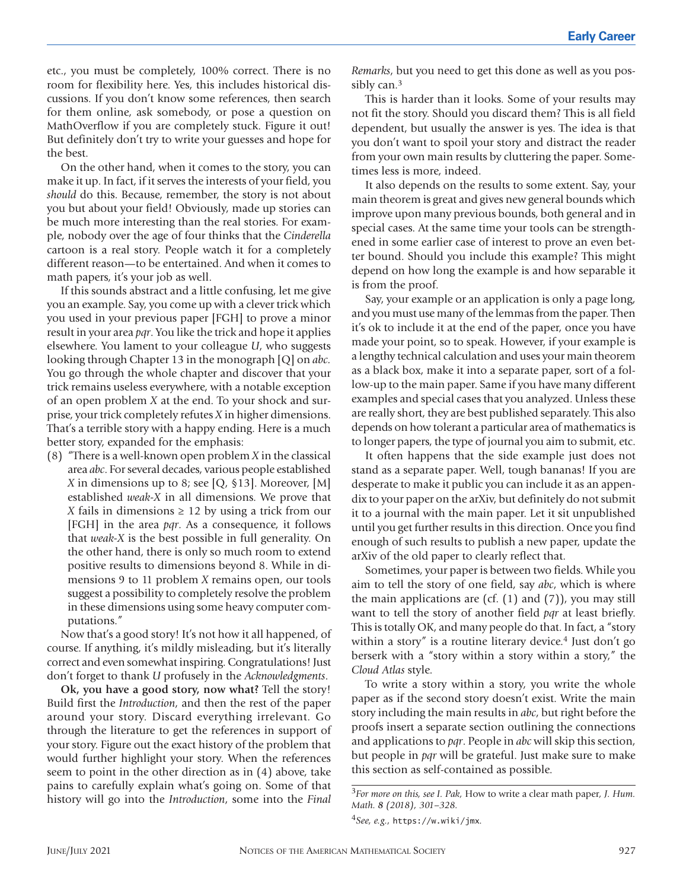etc., you must be completely, 100% correct. There is no room for flexibility here. Yes, this includes historical discussions. If you don't know some references, then search for them online, ask somebody, or pose a question on MathOverflow if you are completely stuck. Figure it out! But definitely don't try to write your guesses and hope for the best.

On the other hand, when it comes to the story, you can make it up. In fact, if it serves the interests of your field, you *should* do this. Because, remember, the story is not about you but about your field! Obviously, made up stories can be much more interesting than the real stories. For example, nobody over the age of four thinks that the *Cinderella* cartoon is a real story. People watch it for a completely different reason—to be entertained. And when it comes to math papers, it's your job as well.

If this sounds abstract and a little confusing, let me give you an example. Say, you come up with a clever trick which you used in your previous paper [FGH] to prove a minor result in your area *pqr*. You like the trick and hope it applies elsewhere. You lament to your colleague *U*, who suggests looking through Chapter 13 in the monograph [Q] on *abc.* You go through the whole chapter and discover that your trick remains useless everywhere, with a notable exception of an open problem *X* at the end. To your shock and surprise, your trick completely refutes *X* in higher dimensions. That's a terrible story with a happy ending. Here is a much better story, expanded for the emphasis:

(8) "There is a well-known open problem *X* in the classical area *abc*. For several decades, various people established *X* in dimensions up to 8; see [Q, §13]. Moreover, [M] established *weak-X* in all dimensions. We prove that *X* fails in dimensions  $\geq$  12 by using a trick from our [FGH] in the area *pqr*. As a consequence, it follows that *weak-X* is the best possible in full generality. On the other hand, there is only so much room to extend positive results to dimensions beyond 8. While in dimensions 9 to 11 problem *X* remains open, our tools suggest a possibility to completely resolve the problem in these dimensions using some heavy computer computations."

Now that's a good story! It's not how it all happened, of course. If anything, it's mildly misleading, but it's literally correct and even somewhat inspiring. Congratulations! Just don't forget to thank *U* profusely in the *Acknowledgments*.

**Ok, you have a good story, now what?** Tell the story! Build first the *Introduction*, and then the rest of the paper around your story. Discard everything irrelevant. Go through the literature to get the references in support of your story. Figure out the exact history of the problem that would further highlight your story. When the references seem to point in the other direction as in (4) above, take pains to carefully explain what's going on. Some of that history will go into the *Introduction*, some into the *Final* 

*Remarks*, but you need to get this done as well as you possibly can.3

This is harder than it looks. Some of your results may not fit the story. Should you discard them? This is all field dependent, but usually the answer is yes. The idea is that you don't want to spoil your story and distract the reader from your own main results by cluttering the paper. Sometimes less is more, indeed.

It also depends on the results to some extent. Say, your main theorem is great and gives new general bounds which improve upon many previous bounds, both general and in special cases. At the same time your tools can be strengthened in some earlier case of interest to prove an even better bound. Should you include this example? This might depend on how long the example is and how separable it is from the proof.

Say, your example or an application is only a page long, and you must use many of the lemmas from the paper. Then it's ok to include it at the end of the paper, once you have made your point, so to speak. However, if your example is a lengthy technical calculation and uses your main theorem as a black box, make it into a separate paper, sort of a follow-up to the main paper. Same if you have many different examples and special cases that you analyzed. Unless these are really short, they are best published separately. This also depends on how tolerant a particular area of mathematics is to longer papers, the type of journal you aim to submit, etc.

It often happens that the side example just does not stand as a separate paper. Well, tough bananas! If you are desperate to make it public you can include it as an appendix to your paper on the arXiv, but definitely do not submit it to a journal with the main paper. Let it sit unpublished until you get further results in this direction. Once you find enough of such results to publish a new paper, update the arXiv of the old paper to clearly reflect that.

Sometimes, your paper is between two fields. While you aim to tell the story of one field, say *abc*, which is where the main applications are (cf.  $(1)$  and  $(7)$ ), you may still want to tell the story of another field *pqr* at least briefly. This is totally OK, and many people do that. In fact, a "story within a story" is a routine literary device.<sup>4</sup> Just don't go berserk with a "story within a story within a story," the *Cloud Atlas* style.

To write a story within a story, you write the whole paper as if the second story doesn't exist. Write the main story including the main results in *abc*, but right before the proofs insert a separate section outlining the connections and applications to *pqr*. People in *abc* will skip this section, but people in *pqr* will be grateful. Just make sure to make this section as self-contained as possible.

<sup>3</sup>*For more on this, see I. Pak,* How to write a clear math paper*, J. Hum. Math. 8 (2018), 301–328.*

<sup>4</sup>*See, e.g.,* https://w.wiki/jmx*.*